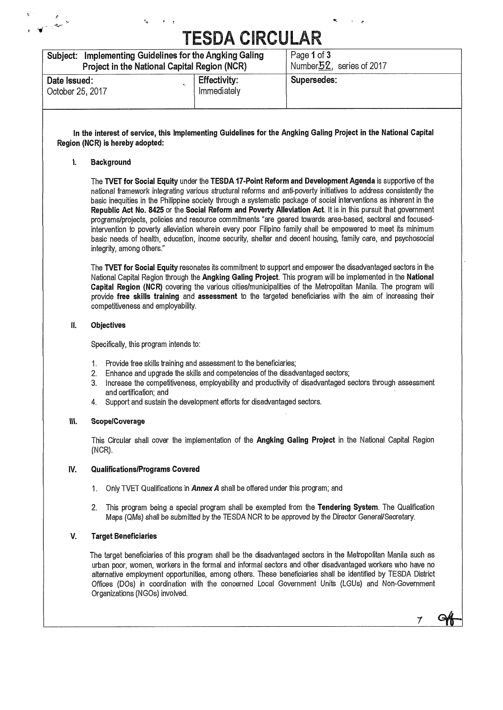# **TESDA CIRCULAR**

| Subject: Implementing Guidelines for the Angking Galing<br>Project in the National Capital Region (NCR) |                                    | Page 1 of 3<br>Number <sup>52</sup> , series of 2017 |  |  |  |
|---------------------------------------------------------------------------------------------------------|------------------------------------|------------------------------------------------------|--|--|--|
| Date Issued:<br>October 25, 2017                                                                        | <b>Effectivity:</b><br>Immediately | Supersedes:                                          |  |  |  |
|                                                                                                         |                                    |                                                      |  |  |  |

**In the interest of service, this Implementing Guidelines for the Angking Galing Project in the National Capital Region (NCR) is hereby adopted:** 

#### **I. Background**

The **TVET for Social Equity** under the **TESDA 17-Point Reform and Development Agenda** is supportive of the national framework integrating various structural reforms and anti-poverty initiatives to address consistently the basic inequities in the Philippine society through a systematic package of social interventions as inherent in the **Republic Act No. 8425** or the **Social Reform and Poverty Alleviation Act.** It is in this pursuit that government programs/projects, policies and resource commitments "are geared towards area-based, sectoral and focusedintervention to poverty alleviation wherein every poor Filipino family shall be empowered to meet its minimum basic needs of health, education, income security, shelter and decent housing, family care, and psychosocial integrity, among others."

The **WET for Social Equity** resonates its commitment to support and empower the disadvantaged sectors in the National Capital Region through the **Angking Galing Project.** This program will be implemented in the **National Capital Region (NCR)** covering the various cities/municipalities of the Metropolitan Manila. The program will provide **free skills training** and **assessment** to the targeted beneficiaries with the aim of increasing their competitiveness and employability.

#### **IL Objectives**

Specifically, this program intends to:

- 1. Provide free skills training and assessment to the beneficiaries;
- 2. Enhance and upgrade the skills and competencies of the disadvantaged sectors;
- 3. Increase the competitiveness, employability and productivity of disadvantaged sectors through assessment and certification; and
- 4. Support and sustain the development efforts for disadvantaged sectors.

#### **III. Scope/Coverage**

This Circular shall cover the implementation of the **Angking Galing Project** in the National Capital Region (NCR).

#### **IV. Qualifications/Programs Covered**

- 1. Only TVET Qualifications in **Annex A** shall be offered under this program; and
- 2. This program being a special program shall be exempted from the **Tendering System.** The Qualification Maps (QMs) shall be submitted by the TESDA NCR to be approved by the Director General/Secretary.

#### **V. Target Beneficiaries**

The target beneficiaries of this program shall be the disadvantaged sectors in the Metropolitan Manila such as urban poor, women, workers in the formal and informal sectors and other disadvantaged workers who have no alternative employment opportunities, among others. These beneficiaries shall be identified by TESDA District Offices (DOs) in coordination with the concerned Local Government Units (LGUs) and Non-Government Organizations (NGOs) involved.

**7**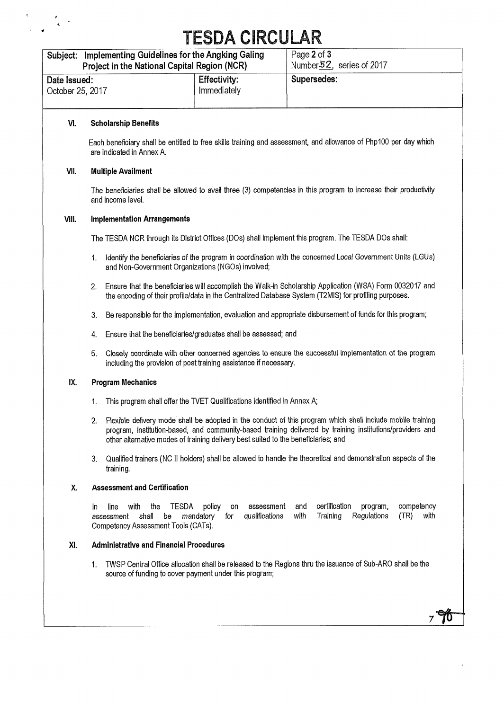|                                  |                                                                                                                                                                                                                                                                                                                                                                                                                    | Subject: Implementing Guidelines for the Angking Galing<br>Project in the National Capital Region (NCR) |                                                                                                                                                                              | Page 2 of 3<br>Number 52, series of 2017                                                                                                                                                                                |  |  |  |
|----------------------------------|--------------------------------------------------------------------------------------------------------------------------------------------------------------------------------------------------------------------------------------------------------------------------------------------------------------------------------------------------------------------------------------------------------------------|---------------------------------------------------------------------------------------------------------|------------------------------------------------------------------------------------------------------------------------------------------------------------------------------|-------------------------------------------------------------------------------------------------------------------------------------------------------------------------------------------------------------------------|--|--|--|
| Date Issued:<br>October 25, 2017 |                                                                                                                                                                                                                                                                                                                                                                                                                    |                                                                                                         | <b>Effectivity:</b><br>Immediately                                                                                                                                           | Supersedes:                                                                                                                                                                                                             |  |  |  |
| VI.                              |                                                                                                                                                                                                                                                                                                                                                                                                                    | <b>Scholarship Benefits</b>                                                                             |                                                                                                                                                                              |                                                                                                                                                                                                                         |  |  |  |
|                                  |                                                                                                                                                                                                                                                                                                                                                                                                                    | are indicated in Annex A.                                                                               |                                                                                                                                                                              | Each beneficiary shall be entitled to free skills training and assessment, and allowance of Php100 per day which                                                                                                        |  |  |  |
| VII.                             | <b>Multiple Availment</b>                                                                                                                                                                                                                                                                                                                                                                                          |                                                                                                         |                                                                                                                                                                              |                                                                                                                                                                                                                         |  |  |  |
|                                  |                                                                                                                                                                                                                                                                                                                                                                                                                    | and income level.                                                                                       |                                                                                                                                                                              | The beneficiaries shall be allowed to avail three (3) competencies in this program to increase their productivity                                                                                                       |  |  |  |
| VIII.                            | <b>Implementation Arrangements</b>                                                                                                                                                                                                                                                                                                                                                                                 |                                                                                                         |                                                                                                                                                                              |                                                                                                                                                                                                                         |  |  |  |
|                                  |                                                                                                                                                                                                                                                                                                                                                                                                                    |                                                                                                         |                                                                                                                                                                              | The TESDA NCR through its District Offices (DOs) shall implement this program. The TESDA DOs shall:                                                                                                                     |  |  |  |
|                                  | Identify the beneficiaries of the program in coordination with the concerned Local Government Units (LGUs)<br>1.<br>and Non-Government Organizations (NGOs) involved;                                                                                                                                                                                                                                              |                                                                                                         |                                                                                                                                                                              |                                                                                                                                                                                                                         |  |  |  |
|                                  | Ensure that the beneficiaries will accomplish the Walk-in Scholarship Application (WSA) Form 0032017 and<br>2.<br>the encoding of their profile/data in the Centralized Database System (T2MIS) for profiling purposes.<br>Be responsible for the implementation, evaluation and appropriate disbursement of funds for this program;<br>3.<br>Ensure that the beneficiaries/graduates shall be assessed; and<br>4. |                                                                                                         |                                                                                                                                                                              |                                                                                                                                                                                                                         |  |  |  |
|                                  |                                                                                                                                                                                                                                                                                                                                                                                                                    |                                                                                                         |                                                                                                                                                                              |                                                                                                                                                                                                                         |  |  |  |
|                                  |                                                                                                                                                                                                                                                                                                                                                                                                                    |                                                                                                         |                                                                                                                                                                              |                                                                                                                                                                                                                         |  |  |  |
|                                  | 5.                                                                                                                                                                                                                                                                                                                                                                                                                 |                                                                                                         | Closely coordinate with other concerned agencies to ensure the successful implementation of the program<br>including the provision of post training assistance if necessary. |                                                                                                                                                                                                                         |  |  |  |
| IX.                              | <b>Program Mechanics</b>                                                                                                                                                                                                                                                                                                                                                                                           |                                                                                                         |                                                                                                                                                                              |                                                                                                                                                                                                                         |  |  |  |
|                                  | This program shall offer the TVET Qualifications identified in Annex A;<br>1.                                                                                                                                                                                                                                                                                                                                      |                                                                                                         |                                                                                                                                                                              |                                                                                                                                                                                                                         |  |  |  |
|                                  | 2.                                                                                                                                                                                                                                                                                                                                                                                                                 | other alternative modes of training delivery best suited to the beneficiaries; and                      |                                                                                                                                                                              | Flexible delivery mode shall be adopted in the conduct of this program which shall include mobile training<br>program, institution-based, and community-based training delivered by training institutions/providers and |  |  |  |
|                                  | Qualified trainers (NC II holders) shall be allowed to handle the theoretical and demonstration aspects of the<br>3.<br>training.                                                                                                                                                                                                                                                                                  |                                                                                                         |                                                                                                                                                                              |                                                                                                                                                                                                                         |  |  |  |
| χ.                               | <b>Assessment and Certification</b>                                                                                                                                                                                                                                                                                                                                                                                |                                                                                                         |                                                                                                                                                                              |                                                                                                                                                                                                                         |  |  |  |
|                                  | In                                                                                                                                                                                                                                                                                                                                                                                                                 | with<br><b>TESDA</b><br>the<br>line<br>assessment<br>shall<br>be<br>Competency Assessment Tools (CATs). | assessment<br>policy<br>on<br>mandatory<br>qualifications<br>for                                                                                                             | certification<br>competency<br>and<br>program,<br>Regulations<br>with<br>(TR)<br>Training<br>with                                                                                                                       |  |  |  |
| XI.                              | <b>Administrative and Financial Procedures</b>                                                                                                                                                                                                                                                                                                                                                                     |                                                                                                         |                                                                                                                                                                              |                                                                                                                                                                                                                         |  |  |  |
|                                  | $1_{-}$                                                                                                                                                                                                                                                                                                                                                                                                            | source of funding to cover payment under this program;                                                  |                                                                                                                                                                              | TWSP Central Office allocation shall be released to the Regions thru the issuance of Sub-ARO shall be the                                                                                                               |  |  |  |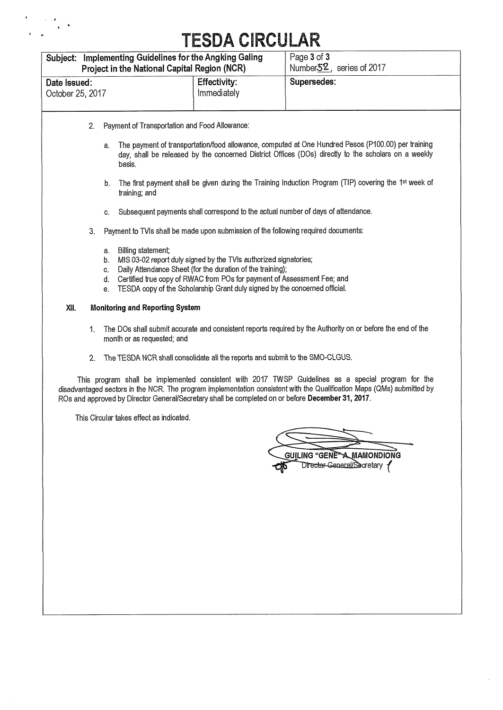# **TESDA CIRCULAR**

 $\label{eq:2} \frac{1}{\sqrt{2}}\left(\frac{1}{2}\right)^{2}\frac{\Phi_{\rm{max}}}{\Phi_{\rm{max}}}\right)$ 

 $\bullet$ 

| ilo <i>ut vinvolti</i>                                                                                                                                          |                                                                                                                                                                                                                                                                                                                                          |                                                                                                   |                                                                                    |                                                                                                                                                                                                                               |  |  |  |
|-----------------------------------------------------------------------------------------------------------------------------------------------------------------|------------------------------------------------------------------------------------------------------------------------------------------------------------------------------------------------------------------------------------------------------------------------------------------------------------------------------------------|---------------------------------------------------------------------------------------------------|------------------------------------------------------------------------------------|-------------------------------------------------------------------------------------------------------------------------------------------------------------------------------------------------------------------------------|--|--|--|
| Subject: Implementing Guidelines for the Angking Galing<br>Project in the National Capital Region (NCR)                                                         |                                                                                                                                                                                                                                                                                                                                          |                                                                                                   | Page 3 of 3<br>Number <sup>52</sup> , series of 2017                               |                                                                                                                                                                                                                               |  |  |  |
| <b>Effectivity:</b><br>Date Issued:<br>Immediately<br>October 25, 2017                                                                                          |                                                                                                                                                                                                                                                                                                                                          |                                                                                                   |                                                                                    | Supersedes:                                                                                                                                                                                                                   |  |  |  |
| Payment of Transportation and Food Allowance:<br>2.<br>The payment of transportation/food allowance, computed at One Hundred Pesos (P100.00) per training<br>a. |                                                                                                                                                                                                                                                                                                                                          |                                                                                                   |                                                                                    |                                                                                                                                                                                                                               |  |  |  |
|                                                                                                                                                                 | day, shall be released by the concerned District Offices (DOs) directly to the scholars on a weekly<br>basis.                                                                                                                                                                                                                            |                                                                                                   |                                                                                    |                                                                                                                                                                                                                               |  |  |  |
|                                                                                                                                                                 | The first payment shall be given during the Training Induction Program (TIP) covering the 1st week of<br>b.<br>training; and                                                                                                                                                                                                             |                                                                                                   |                                                                                    |                                                                                                                                                                                                                               |  |  |  |
|                                                                                                                                                                 | Subsequent payments shall correspond to the actual number of days of attendance.<br>C.                                                                                                                                                                                                                                                   |                                                                                                   |                                                                                    |                                                                                                                                                                                                                               |  |  |  |
|                                                                                                                                                                 | 3.                                                                                                                                                                                                                                                                                                                                       |                                                                                                   | Payment to TVIs shall be made upon submission of the following required documents: |                                                                                                                                                                                                                               |  |  |  |
|                                                                                                                                                                 | a. Billing statement;<br>MIS 03-02 report duly signed by the TVIs authorized signatories;<br>b.<br>Daily Attendance Sheet (for the duration of the training);<br>C.<br>Certified true copy of RWAC from POs for payment of Assessment Fee; and<br>d.<br>TESDA copy of the Scholarship Grant duly signed by the concerned official.<br>е. |                                                                                                   |                                                                                    |                                                                                                                                                                                                                               |  |  |  |
| XII.                                                                                                                                                            |                                                                                                                                                                                                                                                                                                                                          | <b>Monitoring and Reporting System</b>                                                            |                                                                                    |                                                                                                                                                                                                                               |  |  |  |
|                                                                                                                                                                 | The DOs shall submit accurate and consistent reports required by the Authority on or before the end of the<br>1.<br>month or as requested; and                                                                                                                                                                                           |                                                                                                   |                                                                                    |                                                                                                                                                                                                                               |  |  |  |
|                                                                                                                                                                 | 2.                                                                                                                                                                                                                                                                                                                                       |                                                                                                   | The TESDA NCR shall consolidate all the reports and submit to the SMO-CLGUS.       |                                                                                                                                                                                                                               |  |  |  |
|                                                                                                                                                                 |                                                                                                                                                                                                                                                                                                                                          | ROs and approved by Director General/Secretary shall be completed on or before December 31, 2017. |                                                                                    | This program shall be implemented consistent with 2017 TWSP Guidelines as a special program for the<br>disadvantaged sectors in the NCR. The program implementation consistent with the Qualification Maps (QMs) submitted by |  |  |  |
|                                                                                                                                                                 |                                                                                                                                                                                                                                                                                                                                          | This Circular takes effect as indicated.                                                          |                                                                                    |                                                                                                                                                                                                                               |  |  |  |
|                                                                                                                                                                 |                                                                                                                                                                                                                                                                                                                                          |                                                                                                   |                                                                                    |                                                                                                                                                                                                                               |  |  |  |
|                                                                                                                                                                 |                                                                                                                                                                                                                                                                                                                                          |                                                                                                   |                                                                                    | GUILING "GENE" A MAMONDIONG<br>Director-General/Secretary 1                                                                                                                                                                   |  |  |  |
|                                                                                                                                                                 |                                                                                                                                                                                                                                                                                                                                          |                                                                                                   |                                                                                    |                                                                                                                                                                                                                               |  |  |  |
|                                                                                                                                                                 |                                                                                                                                                                                                                                                                                                                                          |                                                                                                   |                                                                                    |                                                                                                                                                                                                                               |  |  |  |
|                                                                                                                                                                 |                                                                                                                                                                                                                                                                                                                                          |                                                                                                   |                                                                                    |                                                                                                                                                                                                                               |  |  |  |
|                                                                                                                                                                 |                                                                                                                                                                                                                                                                                                                                          |                                                                                                   |                                                                                    |                                                                                                                                                                                                                               |  |  |  |
|                                                                                                                                                                 |                                                                                                                                                                                                                                                                                                                                          |                                                                                                   |                                                                                    |                                                                                                                                                                                                                               |  |  |  |